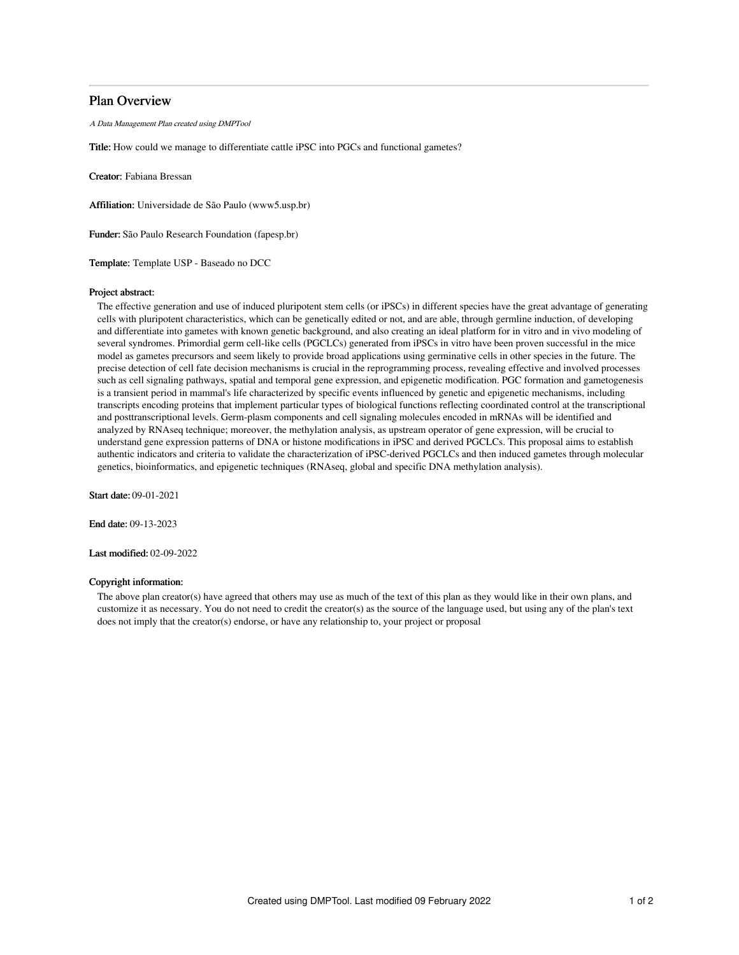# Plan Overview

A Data Management Plan created using DMPTool

Title: How could we manage to differentiate cattle iPSC into PGCs and functional gametes?

Creator: Fabiana Bressan

Affiliation: Universidade de São Paulo (www5.usp.br)

Funder: São Paulo Research Foundation (fapesp.br)

Template: Template USP - Baseado no DCC

### Project abstract:

The effective generation and use of induced pluripotent stem cells (or iPSCs) in different species have the great advantage of generating cells with pluripotent characteristics, which can be genetically edited or not, and are able, through germline induction, of developing and differentiate into gametes with known genetic background, and also creating an ideal platform for in vitro and in vivo modeling of several syndromes. Primordial germ cell-like cells (PGCLCs) generated from iPSCs in vitro have been proven successful in the mice model as gametes precursors and seem likely to provide broad applications using germinative cells in other species in the future. The precise detection of cell fate decision mechanisms is crucial in the reprogramming process, revealing effective and involved processes such as cell signaling pathways, spatial and temporal gene expression, and epigenetic modification. PGC formation and gametogenesis is a transient period in mammal's life characterized by specific events influenced by genetic and epigenetic mechanisms, including transcripts encoding proteins that implement particular types of biological functions reflecting coordinated control at the transcriptional and posttranscriptional levels. Germ-plasm components and cell signaling molecules encoded in mRNAs will be identified and analyzed by RNAseq technique; moreover, the methylation analysis, as upstream operator of gene expression, will be crucial to understand gene expression patterns of DNA or histone modifications in iPSC and derived PGCLCs. This proposal aims to establish authentic indicators and criteria to validate the characterization of iPSC-derived PGCLCs and then induced gametes through molecular genetics, bioinformatics, and epigenetic techniques (RNAseq, global and specific DNA methylation analysis).

Start date: 09-01-2021

End date: 09-13-2023

Last modified: 02-09-2022

## Copyright information:

The above plan creator(s) have agreed that others may use as much of the text of this plan as they would like in their own plans, and customize it as necessary. You do not need to credit the creator(s) as the source of the language used, but using any of the plan's text does not imply that the creator(s) endorse, or have any relationship to, your project or proposal